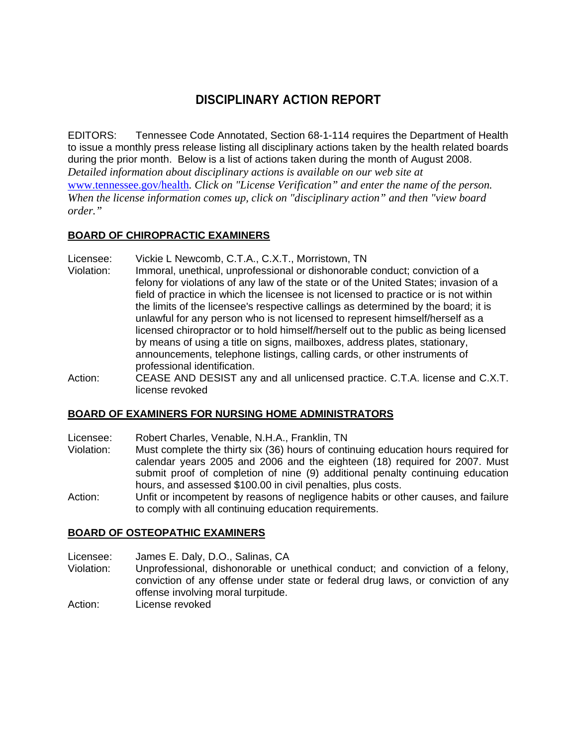# **DISCIPLINARY ACTION REPORT**

EDITORS: Tennessee Code Annotated, Section 68-1-114 requires the Department of Health to issue a monthly press release listing all disciplinary actions taken by the health related boards during the prior month. Below is a list of actions taken during the month of August 2008. *Detailed information about disciplinary actions is available on our web site at*  www.tennessee.gov/health*. Click on "License Verification" and enter the name of the person. When the license information comes up, click on "disciplinary action" and then "view board order."* 

## **BOARD OF CHIROPRACTIC EXAMINERS**

- Licensee: Vickie L Newcomb, C.T.A., C.X.T., Morristown, TN
- Violation: Immoral, unethical, unprofessional or dishonorable conduct; conviction of a felony for violations of any law of the state or of the United States; invasion of a field of practice in which the licensee is not licensed to practice or is not within the limits of the licensee's respective callings as determined by the board; it is unlawful for any person who is not licensed to represent himself/herself as a licensed chiropractor or to hold himself/herself out to the public as being licensed by means of using a title on signs, mailboxes, address plates, stationary, announcements, telephone listings, calling cards, or other instruments of professional identification.
- Action: CEASE AND DESIST any and all unlicensed practice. C.T.A. license and C.X.T. license revoked

### **BOARD OF EXAMINERS FOR NURSING HOME ADMINISTRATORS**

- Licensee: Robert Charles, Venable, N.H.A., Franklin, TN
- Violation: Must complete the thirty six (36) hours of continuing education hours required for calendar years 2005 and 2006 and the eighteen (18) required for 2007. Must submit proof of completion of nine (9) additional penalty continuing education hours, and assessed \$100.00 in civil penalties, plus costs.
- Action: Unfit or incompetent by reasons of negligence habits or other causes, and failure to comply with all continuing education requirements.

### **BOARD OF OSTEOPATHIC EXAMINERS**

- Licensee: James E. Daly, D.O., Salinas, CA
- Violation: Unprofessional, dishonorable or unethical conduct; and conviction of a felony, conviction of any offense under state or federal drug laws, or conviction of any offense involving moral turpitude.
- Action: License revoked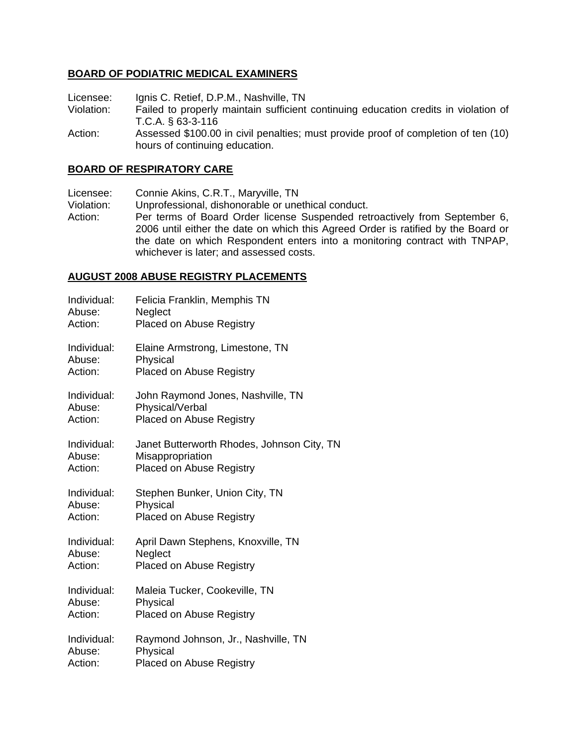### **BOARD OF PODIATRIC MEDICAL EXAMINERS**

Licensee: Ignis C. Retief, D.P.M., Nashville, TN<br>Violation: Failed to properly maintain sufficient Failed to properly maintain sufficient continuing education credits in violation of T.C.A. § 63-3-116 Action: Assessed \$100.00 in civil penalties; must provide proof of completion of ten (10) hours of continuing education.

#### **BOARD OF RESPIRATORY CARE**

Licensee: Connie Akins, C.R.T., Maryville, TN

Violation: Unprofessional, dishonorable or unethical conduct.

Action: Per terms of Board Order license Suspended retroactively from September 6, 2006 until either the date on which this Agreed Order is ratified by the Board or the date on which Respondent enters into a monitoring contract with TNPAP, whichever is later; and assessed costs.

#### **AUGUST 2008 ABUSE REGISTRY PLACEMENTS**

| Individual: | Felicia Franklin, Memphis TN               |
|-------------|--------------------------------------------|
| Abuse:      | Neglect                                    |
| Action:     | <b>Placed on Abuse Registry</b>            |
| Individual: | Elaine Armstrong, Limestone, TN            |
| Abuse:      | Physical                                   |
| Action:     | <b>Placed on Abuse Registry</b>            |
| Individual: | John Raymond Jones, Nashville, TN          |
| Abuse:      | Physical/Verbal                            |
| Action:     | Placed on Abuse Registry                   |
| Individual: | Janet Butterworth Rhodes, Johnson City, TN |
| Abuse:      | Misappropriation                           |
| Action:     | Placed on Abuse Registry                   |
| Individual: | Stephen Bunker, Union City, TN             |
| Abuse:      | Physical                                   |
| Action:     | <b>Placed on Abuse Registry</b>            |
| Individual: | April Dawn Stephens, Knoxville, TN         |
| Abuse:      | Neglect                                    |
| Action:     | <b>Placed on Abuse Registry</b>            |
| Individual: | Maleia Tucker, Cookeville, TN              |
| Abuse:      | Physical                                   |
| Action:     | <b>Placed on Abuse Registry</b>            |
| Individual: | Raymond Johnson, Jr., Nashville, TN        |
| Abuse:      | Physical                                   |
| Action:     | Placed on Abuse Registry                   |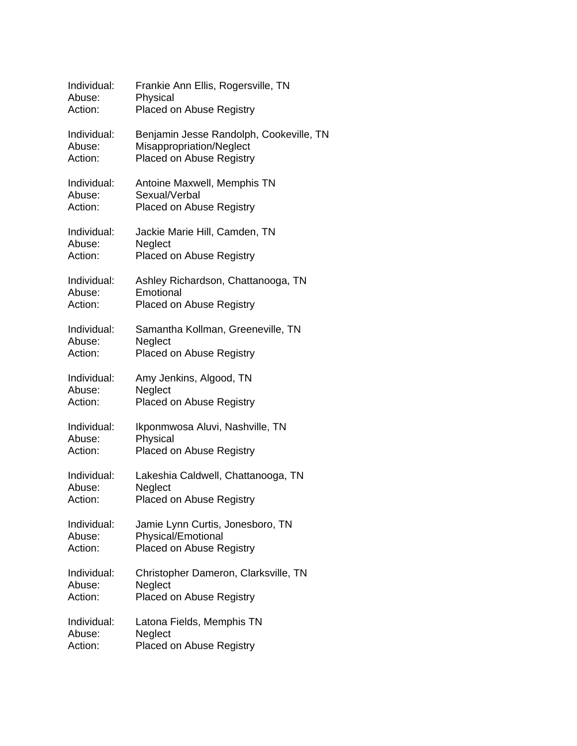| Individual: | Frankie Ann Ellis, Rogersville, TN      |
|-------------|-----------------------------------------|
| Abuse:      | Physical                                |
| Action:     | Placed on Abuse Registry                |
| Individual: | Benjamin Jesse Randolph, Cookeville, TN |
| Abuse:      | Misappropriation/Neglect                |
| Action:     | <b>Placed on Abuse Registry</b>         |
| Individual: | Antoine Maxwell, Memphis TN             |
| Abuse:      | Sexual/Verbal                           |
| Action:     | <b>Placed on Abuse Registry</b>         |
| Individual: | Jackie Marie Hill, Camden, TN           |
| Abuse:      | Neglect                                 |
| Action:     | <b>Placed on Abuse Registry</b>         |
| Individual: | Ashley Richardson, Chattanooga, TN      |
| Abuse:      | Emotional                               |
| Action:     | Placed on Abuse Registry                |
| Individual: | Samantha Kollman, Greeneville, TN       |
| Abuse:      | Neglect                                 |
| Action:     | Placed on Abuse Registry                |
| Individual: | Amy Jenkins, Algood, TN                 |
| Abuse:      | Neglect                                 |
| Action:     | <b>Placed on Abuse Registry</b>         |
| Individual: | Ikponmwosa Aluvi, Nashville, TN         |
| Abuse:      | Physical                                |
| Action:     | Placed on Abuse Registry                |
| Individual: | Lakeshia Caldwell, Chattanooga, TN      |
| Abuse:      | Neglect                                 |
| Action:     | Placed on Abuse Registry                |
| Individual: | Jamie Lynn Curtis, Jonesboro, TN        |
| Abuse:      | Physical/Emotional                      |
| Action:     | Placed on Abuse Registry                |
| Individual: | Christopher Dameron, Clarksville, TN    |
| Abuse:      | Neglect                                 |
| Action:     | Placed on Abuse Registry                |
| Individual: | Latona Fields, Memphis TN               |
| Abuse:      | Neglect                                 |
| Action:     | Placed on Abuse Registry                |